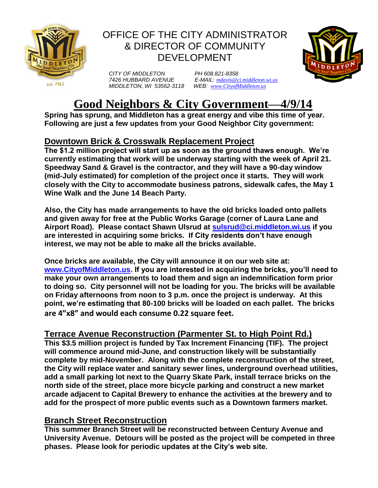

# OFFICE OF THE CITY ADMINISTRATOR & DIRECTOR OF COMMUNITY DEVELOPMENT



 *7426 HUBBARD AVENUE E-MAIL: [mdavis@ci.middleton.wi.us](mailto:mdavis@ci.middleton.wi.us)*



# **Good Neighbors & City Government—4/9/14**

**Spring has sprung, and Middleton has a great energy and vibe this time of year. Following are just a few updates from your Good Neighbor City government:**

## **Downtown Brick & Crosswalk Replacement Project**

**The \$1.2 million project will start up as soon as the ground thaws enough. We're currently estimating that work will be underway starting with the week of April 21. Speedway Sand & Gravel is the contractor, and they will have a 90-day window (mid-July estimated) for completion of the project once it starts. They will work closely with the City to accommodate business patrons, sidewalk cafes, the May 1 Wine Walk and the June 14 Beach Party.** 

**Also, the City has made arrangements to have the old bricks loaded onto pallets and given away for free at the Public Works Garage (corner of Laura Lane and Airport Road). Please contact Shawn Ulsrud at [sulsrud@ci.middleton.wi.us](mailto:sulsrud@ci.middleton.wi.us) if you are interested in acquiring some bricks. If City residents don't have enough interest, we may not be able to make all the bricks available.**

**Once bricks are available, the City will announce it on our web site at: [www.CityofMiddleton.us.](http://www.cityofmiddleton.us/) If you are interested in acquiring the bricks, you'll need to make your own arrangements to load them and sign an indemnification form prior to doing so. City personnel will not be loading for you. The bricks will be available on Friday afternoons from noon to 3 p.m. once the project is underway. At this point, we're estimating that 80-100 bricks will be loaded on each pallet. The bricks are 4"x8" and would each consume 0.22 square feet.**

### **Terrace Avenue Reconstruction (Parmenter St. to High Point Rd.)**

**This \$3.5 million project is funded by Tax Increment Financing (TIF). The project**  will commence around mid-June, and construction likely will be substantially **complete by mid-November. Along with the complete reconstruction of the street, the City will replace water and sanitary sewer lines, underground overhead utilities, add a small parking lot next to the Quarry Skate Park, install terrace bricks on the north side of the street, place more bicycle parking and construct a new market arcade adjacent to Capital Brewery to enhance the activities at the brewery and to add for the prospect of more public events such as a Downtown farmers market.** 

#### **Branch Street Reconstruction**

**This summer Branch Street will be reconstructed between Century Avenue and University Avenue. Detours will be posted as the project will be competed in three phases. Please look for periodic updates at the City's web site.**